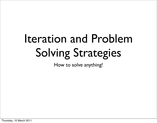# Iteration and Problem Solving Strategies

How to solve anything!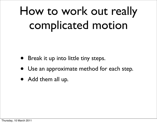# How to work out really complicated motion

- Break it up into little tiny steps.
- Use an approximate method for each step.
- Add them all up.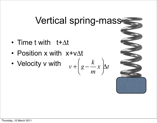## Vertical spring-mass

- Time t with t+ $\Delta t$
- Position x with x+v $\Lambda t$
- Velocity v with

$$
v + \left(g - \frac{k}{m}x\right)\Delta t
$$

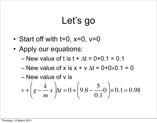# Let's go

- Start off with  $t=0$ ,  $x=0$ ,  $v=0$
- Apply our equations:
	- New value of t is  $t + \Delta t = 0 + 0.1 = 0.1$
	- New value of x is  $x + v \Delta t = 0+0\times0.1 = 0$
	- New value of v is

$$
v + \left(g - \frac{k}{m}x\right)\Delta t = 0 + \left(9.8 - \frac{5}{0.1}0\right) \times 0.1 = 0.98
$$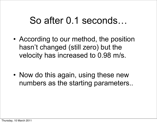### So after 0.1 seconds…

- According to our method, the position hasn't changed (still zero) but the velocity has increased to 0.98 m/s.
- Now do this again, using these new numbers as the starting parameters..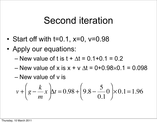### Second iteration

- Start off with  $t=0.1$ ,  $x=0$ ,  $v=0.98$
- Apply our equations:
	- New value of t is  $t + \Delta t = 0.1 + 0.1 = 0.2$
	- New value of x is  $x + v$   $\Lambda t = 0 + 0.98 \times 0.1 = 0.098$
	- New value of v is

$$
v + \left(g - \frac{k}{m}x\right)\Delta t = 0.98 + \left(9.8 - \frac{5}{0.1}0\right) \times 0.1 = 1.96
$$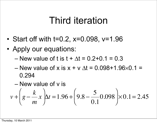### Third iteration

- Start off with t=0.2, x=0.098, v=1.96
- Apply our equations:
	- New value of t is  $t + \Delta t = 0.2 + 0.1 = 0.3$
	- New value of x is  $x + v \Delta t = 0.098 + 1.96 \times 0.1 =$ 0.294
	- New value of v is

$$
v + \left(g - \frac{k}{m}x\right)\Delta t = 1.96 + \left(9.8 - \frac{5}{0.1}0.098\right) \times 0.1 = 2.45
$$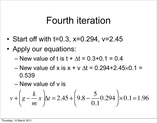### Fourth iteration

- Start off with t=0.3, x=0.294, v=2.45
- Apply our equations:
	- New value of t is  $t + \Delta t = 0.3 + 0.1 = 0.4$
	- New value of x is x + v  $\Delta t = 0.294 + 2.45 \times 0.1 =$ 0.539
	- New value of v is

$$
v + \left(g - \frac{k}{m}x\right)\Delta t = 2.45 + \left(9.8 - \frac{5}{0.1}0.294\right) \times 0.1 = 1.96
$$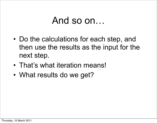### And so on…

- Do the calculations for each step, and then use the results as the input for the next step.
- That's what iteration means!
- What results do we get?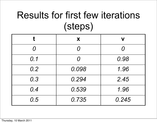# Results for first few iterations (steps)

|                       | X           | V        |
|-----------------------|-------------|----------|
| $\boldsymbol{\Omega}$ |             | $\Omega$ |
| 0.1                   | $\bm{\cap}$ | 0.98     |
| 0.2                   | 0.098       | 1.96     |
| 0.3                   | 0.294       | 2.45     |
| 0.4                   | 0.539       | 1.96     |
| 0.5                   | 0.735       | 0.245    |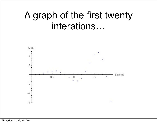## A graph of the first twenty interations…

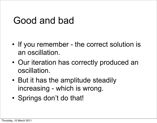## Good and bad

- If you remember the correct solution is an oscillation.
- Our iteration has correctly produced an oscillation.
- But it has the amplitude steadily increasing - which is wrong.
- Springs don't do that!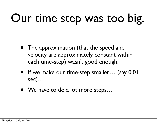# Our time step was too big.

- The approximation (that the speed and velocity are approximately constant within each time-step) wasn't good enough.
- If we make our time-step smaller... (say 0.01 sec)…
- We have to do a lot more steps...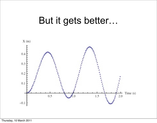### But it gets better…

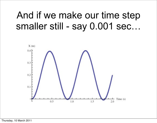## And if we make our time step smaller still - say 0.001 sec…

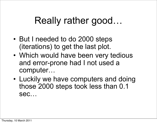# Really rather good…

- But I needed to do 2000 steps (iterations) to get the last plot.
- Which would have been very tedious and error-prone had I not used a computer…
- Luckily we have computers and doing those 2000 steps took less than 0.1 sec…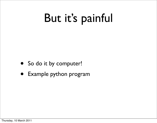# But it's painful

- So do it by computer!
- Example python program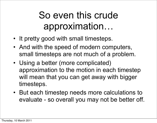# So even this crude approximation…

- It pretty good with small timesteps.
- And with the speed of modern computers, small timesteps are not much of a problem.
- Using a better (more complicated) approximation to the motion in each timestep will mean that you can get away with bigger timesteps.
- But each timestep needs more calculations to evaluate - so overall you may not be better off.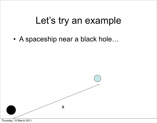## Let's try an example

• A spaceship near a black hole…

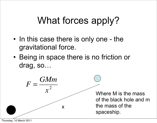# What forces apply?

- In this case there is only one the gravitational force.
- Being in space there is no friction or drag, so…



Thursday, 10 March 2011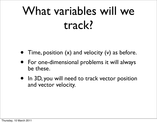# What variables will we track?

- Time, position  $(x)$  and velocity  $(v)$  as before.
- For one-dimensional problems it will always be these.
- In 3D, you will need to track vector position and vector velocity.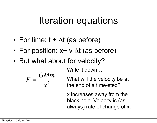## Iteration equations

- For time:  $t + \Delta t$  (as before)
- For position:  $x + v \Delta t$  (as before)
- But what about for velocity?

Write it down…

$$
F=\frac{GMm}{x^2}
$$

What will the velocity be at the end of a time-step?

x increases away from the black hole. Velocity is (as always) rate of change of x.

 $\overline{\phantom{a}}$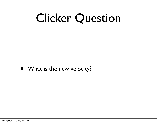# Clicker Question

• What is the new velocity?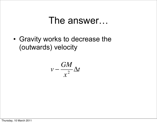### The answer…

• Gravity works to decrease the (outwards) velocity

$$
v-\frac{GM}{x^2}\Delta t
$$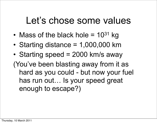## Let's chose some values

- Mass of the black hole  $= 10^{31}$  kg
- Starting distance  $= 1,000,000$  km
- Starting speed = 2000 km/s away

(You've been blasting away from it as hard as you could - but now your fuel has run out… Is your speed great enough to escape?)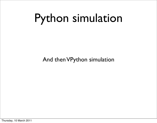# Python simulation

#### And then VPython simulation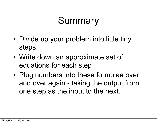# Summary

- Divide up your problem into little tiny steps.
- Write down an approximate set of equations for each step
- Plug numbers into these formulae over and over again - taking the output from one step as the input to the next.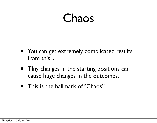# Chaos

- You can get extremely complicated results from this...
- TIny changes in the starting positions can cause huge changes in the outcomes.
- This is the hallmark of "Chaos"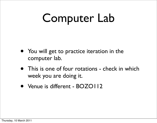# Computer Lab

- You will get to practice iteration in the computer lab.
- This is one of four rotations check in which week you are doing it.
- Venue is different BOZO112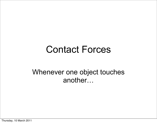### Contact Forces

#### Whenever one object touches another…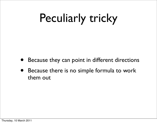# Peculiarly tricky

- Because they can point in different directions
- Because there is no simple formula to work them out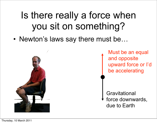# Is there really a force when you sit on something?

• Newton's laws say there must be…



Must be an equal and opposite upward force or I'd be accelerating

**Gravitational** force downwards, due to Earth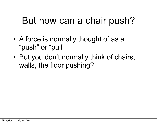## But how can a chair push?

- A force is normally thought of as a "push" or "pull"
- But you don't normally think of chairs, walls, the floor pushing?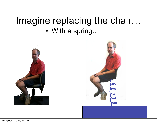### Imagine replacing the chair… • With a spring…

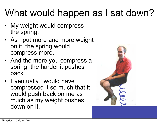# What would happen as I sat down?

- My weight would compress the spring.
- As I put more and more weight on it, the spring would compress more.
- And the more you compress a spring, the harder it pushes back.
- Eventually I would have compressed it so much that it would push back on me as much as my weight pushes down on it.

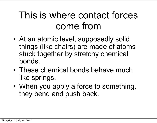## This is where contact forces come from

- At an atomic level, supposedly solid things (like chairs) are made of atoms stuck together by stretchy chemical bonds.
- These chemical bonds behave much like springs.
- When you apply a force to something, they bend and push back.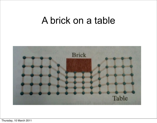### A brick on a table

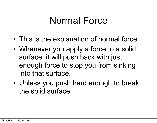## Normal Force

- This is the explanation of normal force.
- Whenever you apply a force to a solid surface, it will push back with just enough force to stop you from sinking into that surface.
- Unless you push hard enough to break the solid surface.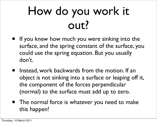# How do you work it out?

- If you knew how much you were sinking into the surface, and the spring constant of the surface, you could use the spring equation. But you usually don't.
- Instead, work backwards from the motion. If an object is not sinking into a surface or leaping off it, the component of the forces perpendicular (normal) to the surface must add up to zero.
- The normal force is whatever you need to make this happen!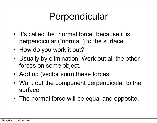# Perpendicular

- It's called the "normal force" because it is perpendicular ("normal") to the surface.
- How do you work it out?
- Usually by elimination. Work out all the other forces on some object.
- Add up (vector sum) these forces.
- Work out the component perpendicular to the surface.
- The normal force will be equal and opposite.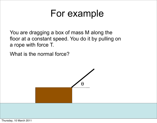### For example

You are dragging a box of mass M along the floor at a constant speed. You do it by pulling on a rope with force T.

What is the normal force?

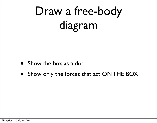# Draw a free-body diagram

- Show the box as a dot
- Show only the forces that act ON THE BOX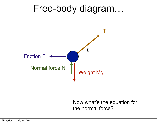### Free-body diagram…



Now what's the equation for the normal force?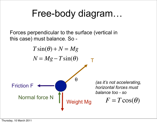## Free-body diagram…

Forces perpendicular to the surface (vertical in this case) must balance. So -

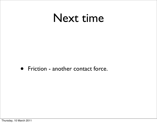# Next time

• Friction - another contact force.